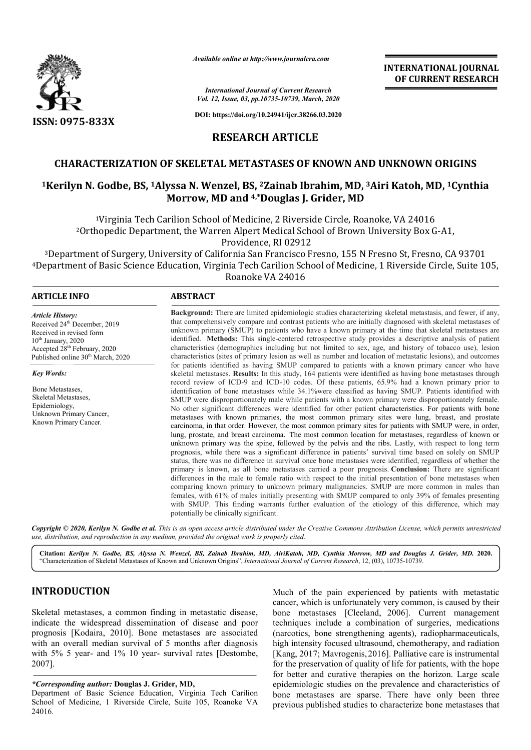

*Available online at http://www.journalcra.com*

*International Journal of Current Research Vol. 12, Issue, 03, pp.10735-10739, March, 2020*

**DOI: https://doi.org/10.24941/ijcr.38266.03.2020**

## **INTERNATIONAL JOURNAL OF CURRENT RESEARCH**

**RESEARCH ARTICLE**

## **CHARACTERIZATION OF SKELETAL METASTASES OF KNOWN AND UNKNOWN ORIGINS**

# **1Kerilyn N. Godbe, BS, 1Alyssa N. Wenzel, BS, Alyssa 2Zainab Ibrahim, MD, 3Airi METASTASES Airi Katoh, MD, 1Cynthia Morrow, MD and 4,\*Douglas J. Grider, MD**

1Virginia Tech Carilion School of Medicine, 2 Riverside Circle, Roanoke, VA 24016 2Orthopedic Department, the Warren Alpert Medical School of Brown University Box G Virginia Tech Carilion School of Medicine, 2 Riverside Circle, Roanoke, VA 24016<br>opedic Department, the Warren Alpert Medical School of Brown University Box G-A1,<br>Providence, RI 02912

3Department of Surgery, University of California San Francisco Fresno, 155 N Fresno St, Fresno, CA 93701 <sup>3</sup>Department of Surgery, University of California San Francisco Fresno, 155 N Fresno St, Fresno, CA 93701<br>4Department of Basic Science Education, Virginia Tech Carilion School of Medicine, 1 Riverside Circle, Suite 105, Roanoke VA 24016

#### **ARTICLE INFO ABSTRACT**

Received 24<sup>th</sup> December, 2019 Received in revised form  $10<sup>th</sup>$  January, 2020

Accepted 28<sup>th</sup> February, 2020 Published online 30<sup>th</sup> March, 2020

Unknown Primary Cancer, Known Primary Cancer.

*Article History:*

*Key Words:*

Bone Metastases, Skeletal Metastases, Epidemiology,

**Background:**  There are limited epidemiologic studies characterizing skeletal metastasis, and fewer, if any, that comprehensively compare and contrast patients who are initially diagnosed with skeletal metastases of unknown primary (SMUP) to patients who have a known pr primary at the time that skeletal metastases are identified. **Methods:** This single-centered retrospective study provides a descriptive analysis of patient characteristics (demographics including but not limited to sex, age, and history of tobacco use), lesio characteristics (sites of primary lesion as well as number and location of metastatic lesions), and outcomes for patients identified as having SMUP compared to patients with a known primary cancer who have skeletal metastases. **Results:** In this study, 164 patients were identified as having bone metastases through record review of ICD-9 and ICD-10 codes. Of these patients, 65.9% had a known primary prior to identification of bone metastases while 34.1%were classified as having SMUP. Patients identified with SMUP were disproportionately male while patients with a known primary were disproportionately female. No other significant differences were identified for other patient characteristics. For patients with bone metastases with known primaries, the most common primary sites were lung, breast, and prostate carcinoma, in that order. However, the most common primary sites for patients with SMUP were, in order, lung, prostate, and breast carcinoma. The most common location for metastases, regardless of known or unknown primary was the spine, followed by the pelvis and the ribs. Lastly, with respect to long term prognosis, while there was a significant difference in patients' survival time based on solely on SMUP status, there was no difference in survival once b bone metastases were identified, regardless of whether the primary is known, as all bone metastases carried a poor prognosis. Conclusion: There are significant differences in the male to female ratio with respect to the initial presentation of bone metastases when comparing known primary to unknown primary malignancies. SMUP are more common in males than females, with 61% of males initially presenting with SMUP compared to only 39% of females presenting with SMUP. This finding warrants further evaluation of the etiology of this difference, which may potentially be clinically significant. **Background:** There are limited epidemiologic studies characterizing skeletal metastasis, and fewer, if any, that comprehensively compare and contrast patients who are initially diagnosed with skeletal metastases of unknow characteristics (sites of primary lesion as well as number and location of metastatic lesions), and outcomes<br>for patients identified as having SMUP compared to patients with a known primary cancer who have<br>skeletal metasta prognosis, while there was a significant difference in patients' survival time based on solely on SMUP status, there was no difference in survival once bone metastases were identified, regardless of whether the primary is comparing known primary to unknown primary malignancies. SMUP are more comm<br>females, with 61% of males initially presenting with SMUP compared to only 39% of<br>with SMUP. This finding warrants further evaluation of the etiol **NTERNATIONAL JOURNAL**<br> **OF CURRENT RESEARCH**<br> **OF CURRENT RESEARCH**<br> **OF CURRENT RESEARCH**<br> **EXECURENT RESEARCH**<br> **EXECURENT RESEARCH**<br> **EXECURENT BOX G-A1**,<br>
no St, Fresno, CA 93701<br>
Riverside Circle, Suite 105,<br>
<br>
Execu

Copyright © 2020, Kerilyn N. Godbe et al. This is an open access article distributed under the Creative Commons Attribution License, which permits unrestricted *use, distribution, and reproduction in any medium, provided the original work is properly cited.*

**Citation:** *Kerilyn N. Godbe, BS, Alyssa N. Wenzel, BS, Zainab Ibrahim, MD, AiriKatoh, MD, Cynthia Morrow, MD and Douglas J. Grider, MD BS, Wenzel, AiriKatoh, and Grider, MD.* **2020.** "Characterization of Skeletal Metastases of Known and Unknown Origins", *International Journal of Current Research*, 12, (03), 10735-10739.

## **INTRODUCTION**

Skeletal metastases, a common finding in metastatic disease, indicate the widespread dissemination of disease and poor prognosis [Kodaira, 2010]. Bone metastases are associated with an overall median survival of 5 months after diagnosis prognosis [Kodaira, 2010]. Bone metastases are associated with an overall median survival of 5 months after diagnosis with 5% 5 year- and 1% 10 year- survival rates [Destombe, 2007].

#### *\*Corresponding author:* **Douglas J. Grider, MD MD,**

Department of Basic Science Education, Virginia Tech Carilion School of Medicine, 1 Riverside Circle, Suite 105, Roanoke VA 24016.

Much of the pain experienced by patients with metastatic cancer, which is unfortunately very common, is caused by their Much of the pain experienced by patients with metastatic cancer, which is unfortunately very common, is caused by their bone metastases [Cleeland, 2006]. Current management techniques include a combination of surgeries, medications (narcotics, bone strengthening agents), radiopharmaceuticals, high intensity focused ultrasound, c (narcotics, chemotherapy, and radiation [Kang, 2017; Mavrogenis,2016 2016]. Palliative care is instrumental for the preservation of quality of life for patients, with the hope for better and curative therapies on the horizon. Large scale epidemiologic studies on the prevalence and characteristics of bone metastases are sparse. There have only been three previous published studies to characterize bone metastases that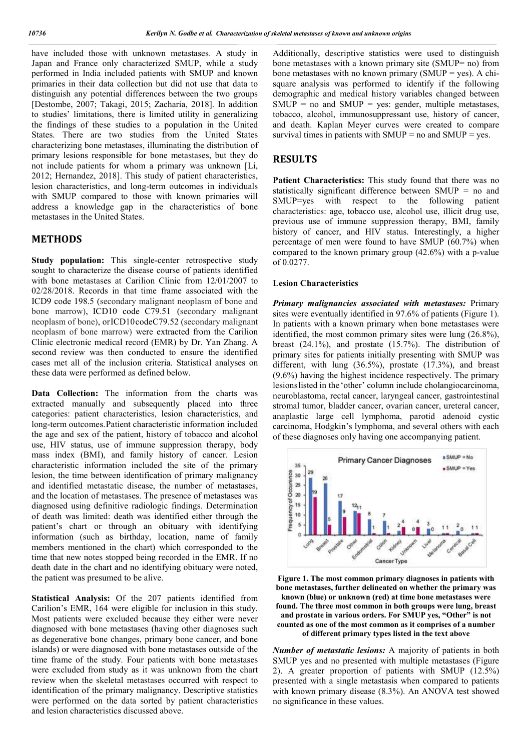have included those with unknown metastases. A study in Japan and France only characterized SMUP, while a study performed in India included patients with SMUP and known primaries in their data collection but did not use that data to distinguish any potential differences between the two groups [Destombe, 2007; Takagi, 2015; Zacharia, 2018]. In addition to studies' limitations, there is limited utility in generalizing the findings of these studies to a population in the United States. There are two studies from the United States characterizing bone metastases, illuminating the distribution of primary lesions responsible for bone metastases, but they do not include patients for whom a primary was unknown [Li, 2012; Hernandez, 2018]. This study of patient characteristics, lesion characteristics, and long-term outcomes in individuals with SMUP compared to those with known primaries will address a knowledge gap in the characteristics of bone metastases in the United States.

## **METHODS**

**Study population:** This single-center retrospective study sought to characterize the disease course of patients identified with bone metastases at Carilion Clinic from 12/01/2007 to 02/28/2018. Records in that time frame associated with the ICD9 code 198.5 (secondary malignant neoplasm of bone and bone marrow), ICD10 code C79.51 (secondary malignant neoplasm of bone), orICD10codeC79.52 (secondary malignant neoplasm of bone marrow) were extracted from the Carilion Clinic electronic medical record (EMR) by Dr. Yan Zhang. A second review was then conducted to ensure the identified cases met all of the inclusion criteria. Statistical analyses on these data were performed as defined below.

**Data Collection:** The information from the charts was extracted manually and subsequently placed into three categories: patient characteristics, lesion characteristics, and long-term outcomes.Patient characteristic information included the age and sex of the patient, history of tobacco and alcohol use, HIV status, use of immune suppression therapy, body mass index (BMI), and family history of cancer. Lesion characteristic information included the site of the primary lesion, the time between identification of primary malignancy and identified metastatic disease, the number of metastases, and the location of metastases. The presence of metastases was diagnosed using definitive radiologic findings. Determination of death was limited: death was identified either through the patient's chart or through an obituary with identifying information (such as birthday, location, name of family members mentioned in the chart) which corresponded to the time that new notes stopped being recorded in the EMR. If no death date in the chart and no identifying obituary were noted, the patient was presumed to be alive.

**Statistical Analysis:** Of the 207 patients identified from Carilion's EMR, 164 were eligible for inclusion in this study. Most patients were excluded because they either were never diagnosed with bone metastases (having other diagnoses such as degenerative bone changes, primary bone cancer, and bone islands) or were diagnosed with bone metastases outside of the time frame of the study. Four patients with bone metastases were excluded from study as it was unknown from the chart review when the skeletal metastases occurred with respect to identification of the primary malignancy. Descriptive statistics were performed on the data sorted by patient characteristics and lesion characteristics discussed above.

Additionally, descriptive statistics were used to distinguish bone metastases with a known primary site (SMUP= no) from bone metastases with no known primary (SMUP = yes). A chisquare analysis was performed to identify if the following demographic and medical history variables changed between  $SMUP = no$  and  $SMUP = yes$ : gender, multiple metastases, tobacco, alcohol, immunosuppressant use, history of cancer, and death. Kaplan Meyer curves were created to compare survival times in patients with  $SMUP = no$  and  $SMUP = ves$ .

### **RESULTS**

**Patient Characteristics:** This study found that there was no statistically significant difference between SMUP = no and SMUP=yes with respect to the following patient characteristics: age, tobacco use, alcohol use, illicit drug use, previous use of immune suppression therapy, BMI, family history of cancer, and HIV status. Interestingly, a higher percentage of men were found to have SMUP (60.7%) when compared to the known primary group (42.6%) with a p-value of 0.0277.

#### **Lesion Characteristics**

*Primary malignancies associated with metastases:* Primary sites were eventually identified in 97.6% of patients (Figure 1). In patients with a known primary when bone metastases were identified, the most common primary sites were lung (26.8%), breast (24.1%), and prostate (15.7%). The distribution of primary sites for patients initially presenting with SMUP was different, with lung (36.5%), prostate (17.3%), and breast (9.6%) having the highest incidence respectively. The primary lesionslisted in the 'other' column include cholangiocarcinoma, neuroblastoma, rectal cancer, laryngeal cancer, gastrointestinal stromal tumor, bladder cancer, ovarian cancer, ureteral cancer, anaplastic large cell lymphoma, parotid adenoid cystic carcinoma, Hodgkin's lymphoma, and several others with each of these diagnoses only having one accompanying patient.



**Figure 1. The most common primary diagnoses in patients with bone metastases, further delineated on whether the primary was known (blue) or unknown (red) at time bone metastases were found. The three most common in both groups were lung, breast and prostate in various orders. For SMUP yes, "Other" is not counted as one of the most common as it comprises of a number of different primary types listed in the text above**

*Number of metastatic lesions:* A majority of patients in both SMUP yes and no presented with multiple metastases (Figure 2). A greater proportion of patients with SMUP (12.5%) presented with a single metastasis when compared to patients with known primary disease (8.3%). An ANOVA test showed no significance in these values.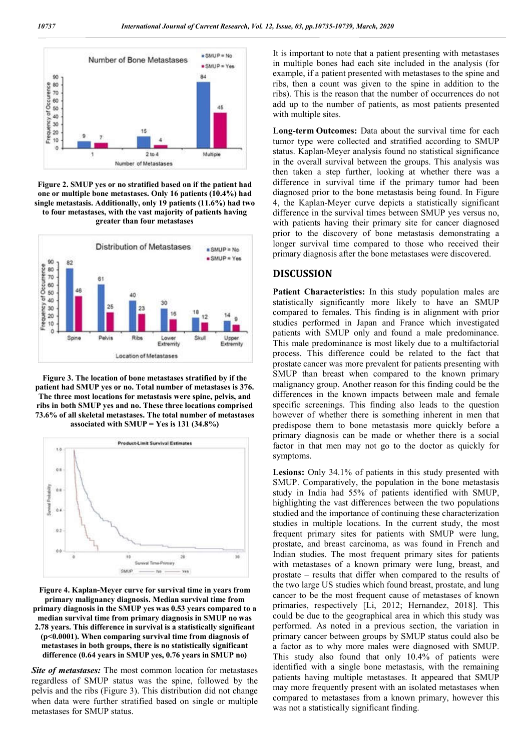

**Figure 2. SMUP yes or no stratified based on if the patient had one or multiple bone metastases. Only 16 patients (10.4%) had single metastasis. Additionally, only 19 patients (11.6%) had two to four metastases, with the vast majority of patients having greater than four metastases**



**Figure 3. The location of bone metastases stratified by if the patient had SMUP yes or no. Total number of metastases is 376. The three most locations for metastasis were spine, pelvis, and ribs in both SMUP yes and no. These three locations comprised 73.6% of all skeletal metastases. The total number of metastases associated with SMUP = Yes is 131 (34.8%)**



**Figure 4. Kaplan-Meyer curve for survival time in years from primary malignancy diagnosis. Median survival time from primary diagnosis in the SMUP yes was 0.53 years compared to a median survival time from primary diagnosis in SMUP no was 2.78 years. This difference in survival is a statistically significant (p<0.0001). When comparing survival time from diagnosis of metastases in both groups, there is no statistically significant difference (0.64 years in SMUP yes, 0.76 years in SMUP no)**

*Site of metastases:* The most common location for metastases regardless of SMUP status was the spine, followed by the pelvis and the ribs (Figure 3). This distribution did not change when data were further stratified based on single or multiple metastases for SMUP status.

It is important to note that a patient presenting with metastases in multiple bones had each site included in the analysis (for example, if a patient presented with metastases to the spine and ribs, then a count was given to the spine in addition to the ribs). This is the reason that the number of occurrences do not add up to the number of patients, as most patients presented with multiple sites.

**Long-term Outcomes:** Data about the survival time for each tumor type were collected and stratified according to SMUP status. Kaplan-Meyer analysis found no statistical significance in the overall survival between the groups. This analysis was then taken a step further, looking at whether there was a difference in survival time if the primary tumor had been diagnosed prior to the bone metastasis being found. In Figure 4, the Kaplan-Meyer curve depicts a statistically significant difference in the survival times between SMUP yes versus no, with patients having their primary site for cancer diagnosed prior to the discovery of bone metastasis demonstrating a longer survival time compared to those who received their primary diagnosis after the bone metastases were discovered.

## **DISCUSSION**

**Patient Characteristics:** In this study population males are statistically significantly more likely to have an SMUP compared to females. This finding is in alignment with prior studies performed in Japan and France which investigated patients with SMUP only and found a male predominance. This male predominance is most likely due to a multifactorial process. This difference could be related to the fact that prostate cancer was more prevalent for patients presenting with SMUP than breast when compared to the known primary malignancy group. Another reason for this finding could be the differences in the known impacts between male and female specific screenings. This finding also leads to the question however of whether there is something inherent in men that predispose them to bone metastasis more quickly before a primary diagnosis can be made or whether there is a social factor in that men may not go to the doctor as quickly for symptoms.

**Lesions:** Only 34.1% of patients in this study presented with SMUP. Comparatively, the population in the bone metastasis study in India had 55% of patients identified with SMUP, highlighting the vast differences between the two populations studied and the importance of continuing these characterization studies in multiple locations. In the current study, the most frequent primary sites for patients with SMUP were lung, prostate, and breast carcinoma, as was found in French and Indian studies. The most frequent primary sites for patients with metastases of a known primary were lung, breast, and prostate – results that differ when compared to the results of the two large US studies which found breast, prostate, and lung cancer to be the most frequent cause of metastases of known primaries, respectively [Li, 2012; Hernandez, 2018]. This could be due to the geographical area in which this study was performed. As noted in a previous section, the variation in primary cancer between groups by SMUP status could also be a factor as to why more males were diagnosed with SMUP. This study also found that only 10.4% of patients were identified with a single bone metastasis, with the remaining patients having multiple metastases. It appeared that SMUP may more frequently present with an isolated metastases when compared to metastases from a known primary, however this was not a statistically significant finding.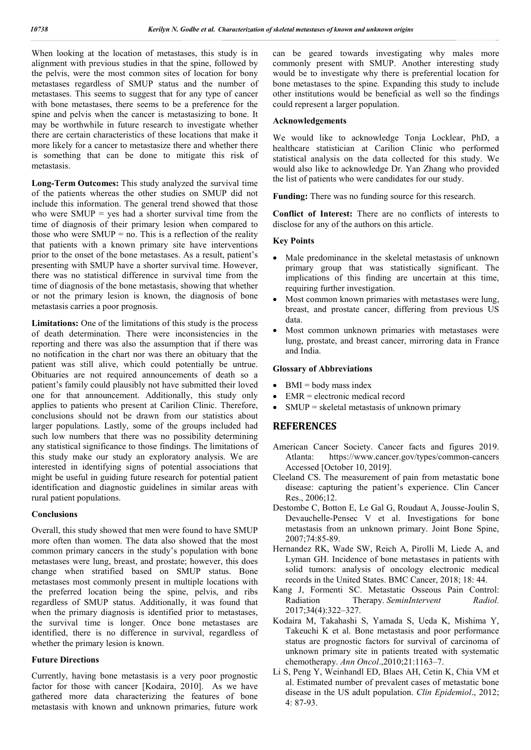When looking at the location of metastases, this study is in alignment with previous studies in that the spine, followed by the pelvis, were the most common sites of location for bony metastases regardless of SMUP status and the number of metastases. This seems to suggest that for any type of cancer with bone metastases, there seems to be a preference for the spine and pelvis when the cancer is metastasizing to bone. It may be worthwhile in future research to investigate whether there are certain characteristics of these locations that make it more likely for a cancer to metastasize there and whether there is something that can be done to mitigate this risk of metastasis.

**Long-Term Outcomes:** This study analyzed the survival time of the patients whereas the other studies on SMUP did not include this information. The general trend showed that those who were  $SMUP = yes$  had a shorter survival time from the time of diagnosis of their primary lesion when compared to those who were  $SMUP = no$ . This is a reflection of the reality that patients with a known primary site have interventions prior to the onset of the bone metastases. As a result, patient's presenting with SMUP have a shorter survival time. However, there was no statistical difference in survival time from the time of diagnosis of the bone metastasis, showing that whether or not the primary lesion is known, the diagnosis of bone metastasis carries a poor prognosis.

**Limitations:** One of the limitations of this study is the process of death determination. There were inconsistencies in the reporting and there was also the assumption that if there was no notification in the chart nor was there an obituary that the patient was still alive, which could potentially be untrue. Obituaries are not required announcements of death so a patient's family could plausibly not have submitted their loved one for that announcement. Additionally, this study only applies to patients who present at Carilion Clinic. Therefore, conclusions should not be drawn from our statistics about larger populations. Lastly, some of the groups included had such low numbers that there was no possibility determining any statistical significance to those findings. The limitations of this study make our study an exploratory analysis. We are interested in identifying signs of potential associations that might be useful in guiding future research for potential patient identification and diagnostic guidelines in similar areas with rural patient populations.

#### **Conclusions**

Overall, this study showed that men were found to have SMUP more often than women. The data also showed that the most common primary cancers in the study's population with bone metastases were lung, breast, and prostate; however, this does change when stratified based on SMUP status. Bone metastases most commonly present in multiple locations with the preferred location being the spine, pelvis, and ribs regardless of SMUP status. Additionally, it was found that when the primary diagnosis is identified prior to metastases, the survival time is longer. Once bone metastases are identified, there is no difference in survival, regardless of whether the primary lesion is known.

#### **Future Directions**

Currently, having bone metastasis is a very poor prognostic factor for those with cancer [Kodaira, 2010]. As we have gathered more data characterizing the features of bone metastasis with known and unknown primaries, future work can be geared towards investigating why males more commonly present with SMUP. Another interesting study would be to investigate why there is preferential location for bone metastases to the spine. Expanding this study to include other institutions would be beneficial as well so the findings could represent a larger population.

#### **Acknowledgements**

We would like to acknowledge Tonja Locklear, PhD, a healthcare statistician at Carilion Clinic who performed statistical analysis on the data collected for this study. We would also like to acknowledge Dr. Yan Zhang who provided the list of patients who were candidates for our study.

**Funding:** There was no funding source for this research.

**Conflict of Interest:** There are no conflicts of interests to disclose for any of the authors on this article.

#### **Key Points**

- Male predominance in the skeletal metastasis of unknown primary group that was statistically significant. The implications of this finding are uncertain at this time, requiring further investigation.
- Most common known primaries with metastases were lung, breast, and prostate cancer, differing from previous US data.
- Most common unknown primaries with metastases were lung, prostate, and breast cancer, mirroring data in France and India.

## **Glossary of Abbreviations**

- $\bullet$  BMI = body mass index
- EMR = electronic medical record
- SMUP = skeletal metastasis of unknown primary

## **REFERENCES**

- American Cancer Society. Cancer facts and figures 2019. Atlanta: https://www.cancer.gov/types/common-cancers Accessed [October 10, 2019].
- Cleeland CS. The measurement of pain from metastatic bone disease: capturing the patient's experience. Clin Cancer Res., 2006;12.
- Destombe C, Botton E, Le Gal G, Roudaut A, Jousse-Joulin S, Devauchelle-Pensec V et al. Investigations for bone metastasis from an unknown primary. Joint Bone Spine, 2007;74:85-89.
- Hernandez RK, Wade SW, Reich A, Pirolli M, Liede A, and Lyman GH. Incidence of bone metastases in patients with solid tumors: analysis of oncology electronic medical records in the United States. BMC Cancer, 2018; 18: 44.
- Kang J, Formenti SC. Metastatic Osseous Pain Control: Radiation Therapy. *SeminIntervent Radiol.*  2017;34(4):322–327.
- Kodaira M, Takahashi S, Yamada S, Ueda K, Mishima Y, Takeuchi K et al. Bone metastasis and poor performance status are prognostic factors for survival of carcinoma of unknown primary site in patients treated with systematic chemotherapy. *Ann Oncol*.,2010;21:1163–7.
- Li S, Peng Y, Weinhandl ED, Blaes AH, Cetin K, Chia VM et al. Estimated number of prevalent cases of metastatic bone disease in the US adult population. *Clin Epidemiol*., 2012; 4: 87-93.